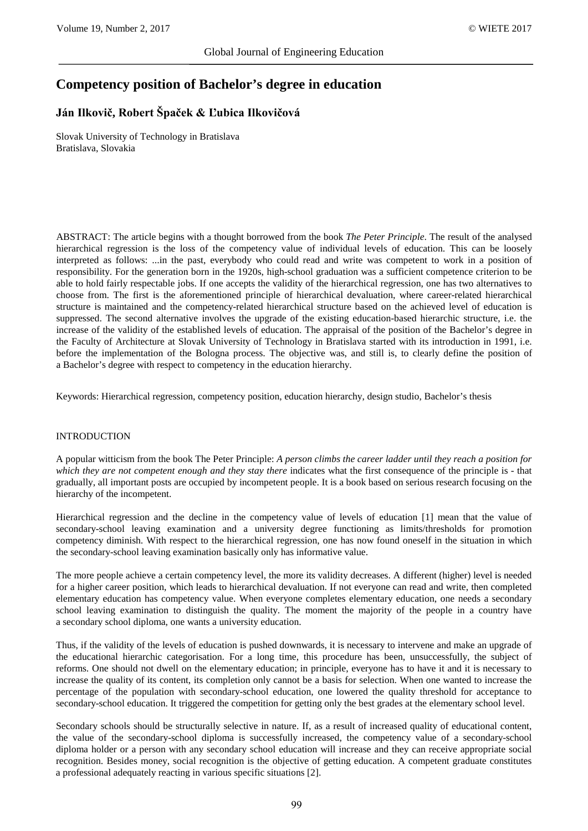# **Competency position of Bachelor's degree in education**

## **Ján Ilkovič, Robert Špaček & Ľubica Ilkovičová**

Slovak University of Technology in Bratislava Bratislava, Slovakia

ABSTRACT: The article begins with a thought borrowed from the book *The Peter Principle*. The result of the analysed hierarchical regression is the loss of the competency value of individual levels of education. This can be loosely interpreted as follows: ...in the past, everybody who could read and write was competent to work in a position of responsibility. For the generation born in the 1920s, high-school graduation was a sufficient competence criterion to be able to hold fairly respectable jobs. If one accepts the validity of the hierarchical regression, one has two alternatives to choose from. The first is the aforementioned principle of hierarchical devaluation, where career-related hierarchical structure is maintained and the competency-related hierarchical structure based on the achieved level of education is suppressed. The second alternative involves the upgrade of the existing education-based hierarchic structure, i.e. the increase of the validity of the established levels of education. The appraisal of the position of the Bachelor's degree in the Faculty of Architecture at Slovak University of Technology in Bratislava started with its introduction in 1991, i.e. before the implementation of the Bologna process. The objective was, and still is, to clearly define the position of a Bachelor's degree with respect to competency in the education hierarchy.

Keywords: Hierarchical regression, competency position, education hierarchy, design studio, Bachelor's thesis

#### INTRODUCTION

A popular witticism from the book The Peter Principle: *A person climbs the career ladder until they reach a position for which they are not competent enough and they stay there* indicates what the first consequence of the principle is - that gradually, all important posts are occupied by incompetent people. It is a book based on serious research focusing on the hierarchy of the incompetent.

Hierarchical regression and the decline in the competency value of levels of education [1] mean that the value of secondary-school leaving examination and a university degree functioning as limits/thresholds for promotion competency diminish. With respect to the hierarchical regression, one has now found oneself in the situation in which the secondary-school leaving examination basically only has informative value.

The more people achieve a certain competency level, the more its validity decreases. A different (higher) level is needed for a higher career position, which leads to hierarchical devaluation. If not everyone can read and write, then completed elementary education has competency value. When everyone completes elementary education, one needs a secondary school leaving examination to distinguish the quality. The moment the majority of the people in a country have a secondary school diploma, one wants a university education.

Thus, if the validity of the levels of education is pushed downwards, it is necessary to intervene and make an upgrade of the educational hierarchic categorisation. For a long time, this procedure has been, unsuccessfully, the subject of reforms. One should not dwell on the elementary education; in principle, everyone has to have it and it is necessary to increase the quality of its content, its completion only cannot be a basis for selection. When one wanted to increase the percentage of the population with secondary-school education, one lowered the quality threshold for acceptance to secondary-school education. It triggered the competition for getting only the best grades at the elementary school level.

Secondary schools should be structurally selective in nature. If, as a result of increased quality of educational content, the value of the secondary-school diploma is successfully increased, the competency value of a secondary-school diploma holder or a person with any secondary school education will increase and they can receive appropriate social recognition. Besides money, social recognition is the objective of getting education. A competent graduate constitutes a professional adequately reacting in various specific situations [2].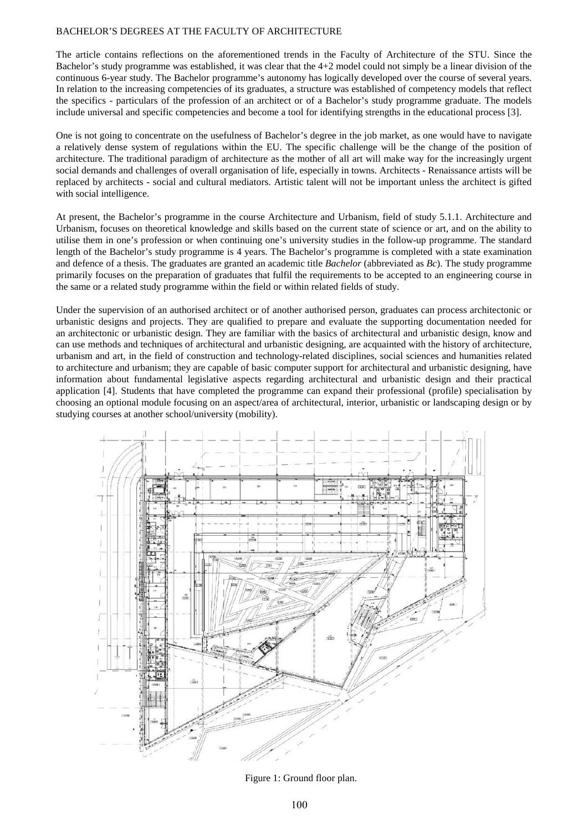#### BACHELOR'S DEGREES AT THE FACULTY OF ARCHITECTURE

The article contains reflections on the aforementioned trends in the Faculty of Architecture of the STU. Since the Bachelor's study programme was established, it was clear that the 4+2 model could not simply be a linear division of the continuous 6-year study. The Bachelor programme's autonomy has logically developed over the course of several years. In relation to the increasing competencies of its graduates, a structure was established of competency models that reflect the specifics - particulars of the profession of an architect or of a Bachelor's study programme graduate. The models include universal and specific competencies and become a tool for identifying strengths in the educational process [3].

One is not going to concentrate on the usefulness of Bachelor's degree in the job market, as one would have to navigate a relatively dense system of regulations within the EU. The specific challenge will be the change of the position of architecture. The traditional paradigm of architecture as the mother of all art will make way for the increasingly urgent social demands and challenges of overall organisation of life, especially in towns. Architects - Renaissance artists will be replaced by architects - social and cultural mediators. Artistic talent will not be important unless the architect is gifted with social intelligence.

At present, the Bachelor's programme in the course Architecture and Urbanism, field of study 5.1.1. Architecture and Urbanism, focuses on theoretical knowledge and skills based on the current state of science or art, and on the ability to utilise them in one's profession or when continuing one's university studies in the follow-up programme. The standard length of the Bachelor's study programme is 4 years. The Bachelor's programme is completed with a state examination and defence of a thesis. The graduates are granted an academic title *Bachelor* (abbreviated as *Bc*). The study programme primarily focuses on the preparation of graduates that fulfil the requirements to be accepted to an engineering course in the same or a related study programme within the field or within related fields of study.

Under the supervision of an authorised architect or of another authorised person, graduates can process architectonic or urbanistic designs and projects. They are qualified to prepare and evaluate the supporting documentation needed for an architectonic or urbanistic design. They are familiar with the basics of architectural and urbanistic design, know and can use methods and techniques of architectural and urbanistic designing, are acquainted with the history of architecture, urbanism and art, in the field of construction and technology-related disciplines, social sciences and humanities related to architecture and urbanism; they are capable of basic computer support for architectural and urbanistic designing, have information about fundamental legislative aspects regarding architectural and urbanistic design and their practical application [4]. Students that have completed the programme can expand their professional (profile) specialisation by choosing an optional module focusing on an aspect/area of architectural, interior, urbanistic or landscaping design or by studying courses at another school/university (mobility).



Figure 1: Ground floor plan.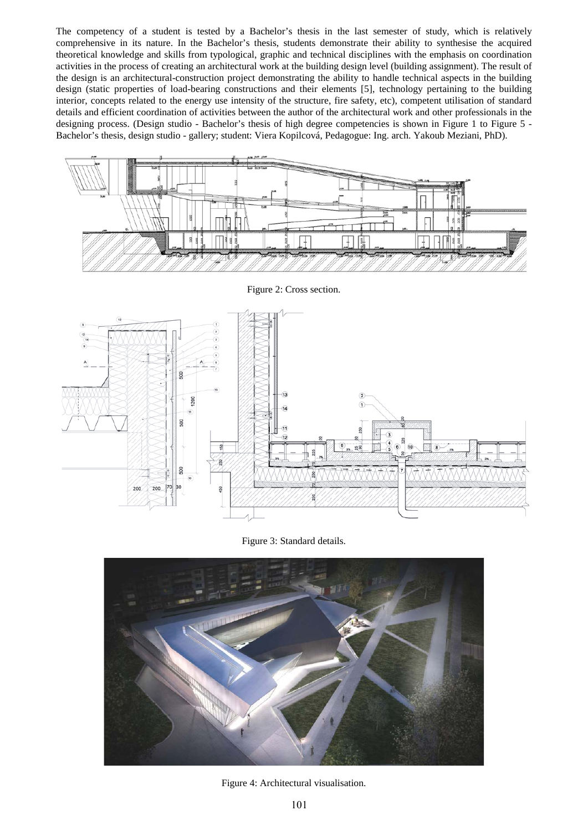The competency of a student is tested by a Bachelor's thesis in the last semester of study, which is relatively comprehensive in its nature. In the Bachelor's thesis, students demonstrate their ability to synthesise the acquired theoretical knowledge and skills from typological, graphic and technical disciplines with the emphasis on coordination activities in the process of creating an architectural work at the building design level (building assignment). The result of the design is an architectural-construction project demonstrating the ability to handle technical aspects in the building design (static properties of load-bearing constructions and their elements [5], technology pertaining to the building interior, concepts related to the energy use intensity of the structure, fire safety, etc), competent utilisation of standard details and efficient coordination of activities between the author of the architectural work and other professionals in the designing process. (Design studio - Bachelor's thesis of high degree competencies is shown in Figure 1 to Figure 5 - Bachelor's thesis, design studio - gallery; student: Viera Kopilcová, Pedagogue: Ing. arch. Yakoub Meziani, PhD).



Figure 2: Cross section.



Figure 3: Standard details.



Figure 4: Architectural visualisation.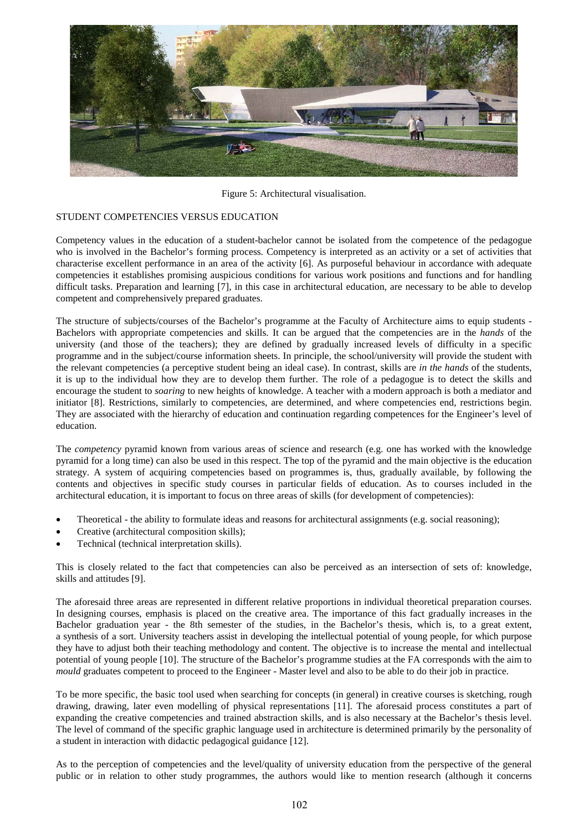

Figure 5: Architectural visualisation.

#### STUDENT COMPETENCIES VERSUS EDUCATION

Competency values in the education of a student-bachelor cannot be isolated from the competence of the pedagogue who is involved in the Bachelor's forming process. Competency is interpreted as an activity or a set of activities that characterise excellent performance in an area of the activity [6]. As purposeful behaviour in accordance with adequate competencies it establishes promising auspicious conditions for various work positions and functions and for handling difficult tasks. Preparation and learning [7], in this case in architectural education, are necessary to be able to develop competent and comprehensively prepared graduates.

The structure of subjects/courses of the Bachelor's programme at the Faculty of Architecture aims to equip students - Bachelors with appropriate competencies and skills. It can be argued that the competencies are in the *hands* of the university (and those of the teachers); they are defined by gradually increased levels of difficulty in a specific programme and in the subject/course information sheets. In principle, the school/university will provide the student with the relevant competencies (a perceptive student being an ideal case). In contrast, skills are *in the hands* of the students, it is up to the individual how they are to develop them further. The role of a pedagogue is to detect the skills and encourage the student to *soaring* to new heights of knowledge. A teacher with a modern approach is both a mediator and initiator [8]. Restrictions, similarly to competencies, are determined, and where competencies end, restrictions begin. They are associated with the hierarchy of education and continuation regarding competences for the Engineer's level of education.

The *competency* pyramid known from various areas of science and research (e.g. one has worked with the knowledge pyramid for a long time) can also be used in this respect. The top of the pyramid and the main objective is the education strategy. A system of acquiring competencies based on programmes is, thus, gradually available, by following the contents and objectives in specific study courses in particular fields of education. As to courses included in the architectural education, it is important to focus on three areas of skills (for development of competencies):

- Theoretical the ability to formulate ideas and reasons for architectural assignments (e.g. social reasoning);
- Creative (architectural composition skills);
- Technical (technical interpretation skills).

This is closely related to the fact that competencies can also be perceived as an intersection of sets of: knowledge, skills and attitudes [9].

The aforesaid three areas are represented in different relative proportions in individual theoretical preparation courses. In designing courses, emphasis is placed on the creative area. The importance of this fact gradually increases in the Bachelor graduation year - the 8th semester of the studies, in the Bachelor's thesis, which is, to a great extent, a synthesis of a sort. University teachers assist in developing the intellectual potential of young people, for which purpose they have to adjust both their teaching methodology and content. The objective is to increase the mental and intellectual potential of young people [10]. The structure of the Bachelor's programme studies at the FA corresponds with the aim to *mould* graduates competent to proceed to the Engineer - Master level and also to be able to do their job in practice.

To be more specific, the basic tool used when searching for concepts (in general) in creative courses is sketching, rough drawing, drawing, later even modelling of physical representations [11]. The aforesaid process constitutes a part of expanding the creative competencies and trained abstraction skills, and is also necessary at the Bachelor's thesis level. The level of command of the specific graphic language used in architecture is determined primarily by the personality of a student in interaction with didactic pedagogical guidance [12].

As to the perception of competencies and the level/quality of university education from the perspective of the general public or in relation to other study programmes, the authors would like to mention research (although it concerns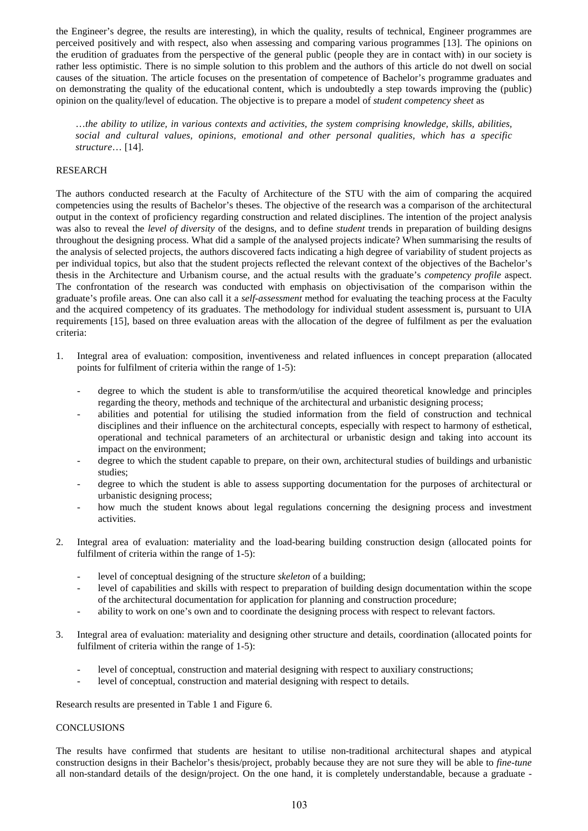the Engineer's degree, the results are interesting), in which the quality, results of technical, Engineer programmes are perceived positively and with respect, also when assessing and comparing various programmes [13]. The opinions on the erudition of graduates from the perspective of the general public (people they are in contact with) in our society is rather less optimistic. There is no simple solution to this problem and the authors of this article do not dwell on social causes of the situation. The article focuses on the presentation of competence of Bachelor's programme graduates and on demonstrating the quality of the educational content, which is undoubtedly a step towards improving the (public) opinion on the quality/level of education. The objective is to prepare a model of *student competency sheet* as

…*the ability to utilize, in various contexts and activities, the system comprising knowledge, skills, abilities, social and cultural values, opinions, emotional and other personal qualities, which has a specific structure*… [14].

#### RESEARCH

The authors conducted research at the Faculty of Architecture of the STU with the aim of comparing the acquired competencies using the results of Bachelor's theses. The objective of the research was a comparison of the architectural output in the context of proficiency regarding construction and related disciplines. The intention of the project analysis was also to reveal the *level of diversity* of the designs, and to define *student* trends in preparation of building designs throughout the designing process. What did a sample of the analysed projects indicate? When summarising the results of the analysis of selected projects, the authors discovered facts indicating a high degree of variability of student projects as per individual topics, but also that the student projects reflected the relevant context of the objectives of the Bachelor's thesis in the Architecture and Urbanism course, and the actual results with the graduate's *competency profile* aspect. The confrontation of the research was conducted with emphasis on objectivisation of the comparison within the graduate's profile areas. One can also call it a *self-assessment* method for evaluating the teaching process at the Faculty and the acquired competency of its graduates. The methodology for individual student assessment is, pursuant to UIA requirements [15], based on three evaluation areas with the allocation of the degree of fulfilment as per the evaluation criteria:

- 1. Integral area of evaluation: composition, inventiveness and related influences in concept preparation (allocated points for fulfilment of criteria within the range of 1-5):
	- degree to which the student is able to transform/utilise the acquired theoretical knowledge and principles regarding the theory, methods and technique of the architectural and urbanistic designing process;
	- abilities and potential for utilising the studied information from the field of construction and technical disciplines and their influence on the architectural concepts, especially with respect to harmony of esthetical, operational and technical parameters of an architectural or urbanistic design and taking into account its impact on the environment;
	- degree to which the student capable to prepare, on their own, architectural studies of buildings and urbanistic studies;
	- degree to which the student is able to assess supporting documentation for the purposes of architectural or urbanistic designing process;
	- how much the student knows about legal regulations concerning the designing process and investment activities.
- 2. Integral area of evaluation: materiality and the load-bearing building construction design (allocated points for fulfilment of criteria within the range of 1-5):
	- level of conceptual designing of the structure *skeleton* of a building;
	- level of capabilities and skills with respect to preparation of building design documentation within the scope of the architectural documentation for application for planning and construction procedure;
	- ability to work on one's own and to coordinate the designing process with respect to relevant factors.
- 3. Integral area of evaluation: materiality and designing other structure and details, coordination (allocated points for fulfilment of criteria within the range of 1-5):
	- level of conceptual, construction and material designing with respect to auxiliary constructions;
	- level of conceptual, construction and material designing with respect to details.

Research results are presented in Table 1 and Figure 6.

#### CONCLUSIONS

The results have confirmed that students are hesitant to utilise non-traditional architectural shapes and atypical construction designs in their Bachelor's thesis/project, probably because they are not sure they will be able to *fine-tune* all non-standard details of the design/project. On the one hand, it is completely understandable, because a graduate -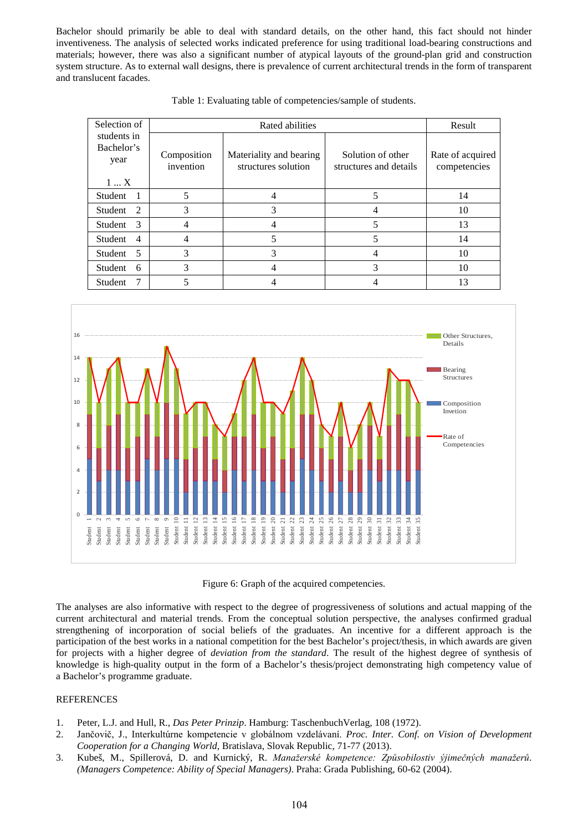Bachelor should primarily be able to deal with standard details, on the other hand, this fact should not hinder inventiveness. The analysis of selected works indicated preference for using traditional load-bearing constructions and materials; however, there was also a significant number of atypical layouts of the ground-plan grid and construction system structure. As to external wall designs, there is prevalence of current architectural trends in the form of transparent and translucent facades.

| Selection of                      | Rated abilities          |                                                |                                             | Result                           |
|-----------------------------------|--------------------------|------------------------------------------------|---------------------------------------------|----------------------------------|
| students in<br>Bachelor's<br>year | Composition<br>invention | Materiality and bearing<br>structures solution | Solution of other<br>structures and details | Rate of acquired<br>competencies |
| $1 \ldots X$                      |                          |                                                |                                             |                                  |
| Student                           | 5                        |                                                |                                             | 14                               |
| $\mathcal{D}$<br>Student          | 3                        | 3                                              |                                             | 10                               |
| $\mathcal{F}$<br>Student          |                          |                                                |                                             | 13                               |
| Student<br>$\overline{4}$         |                          |                                                |                                             | 14                               |
| Student <sub>5</sub>              | 3                        | 3                                              | 4                                           | 10                               |
| Student<br>6                      | 3                        | 4                                              | 3                                           | 10                               |
| Student                           |                          |                                                |                                             | 13                               |

Table 1: Evaluating table of competencies/sample of students.



Figure 6: Graph of the acquired competencies.

The analyses are also informative with respect to the degree of progressiveness of solutions and actual mapping of the current architectural and material trends. From the conceptual solution perspective, the analyses confirmed gradual strengthening of incorporation of social beliefs of the graduates. An incentive for a different approach is the participation of the best works in a national competition for the best Bachelor's project/thesis, in which awards are given for projects with a higher degree of *deviation from the standard*. The result of the highest degree of synthesis of knowledge is high-quality output in the form of a Bachelor's thesis/project demonstrating high competency value of a Bachelor's programme graduate.

### **REFERENCES**

- 1. Peter, L.J. and Hull, R., *Das Peter Prinzip*. Hamburg: TaschenbuchVerlag, 108 (1972).
- 2. Jančovič, J., Interkultúrne kompetencie v globálnom vzdelávaní. *Proc. Inter. Conf. on Vision of Development Cooperation for a Changing World*, Bratislava, Slovak Republic, 71-77 (2013).
- 3. Kubeš, M., Spillerová, D. and Kurnický, R. *Manažerské kompetence: Způsobilostiv ýjimečných manažerů*. *(Managers Competence: Ability of Special Managers)*. Praha: Grada Publishing, 60-62 (2004).